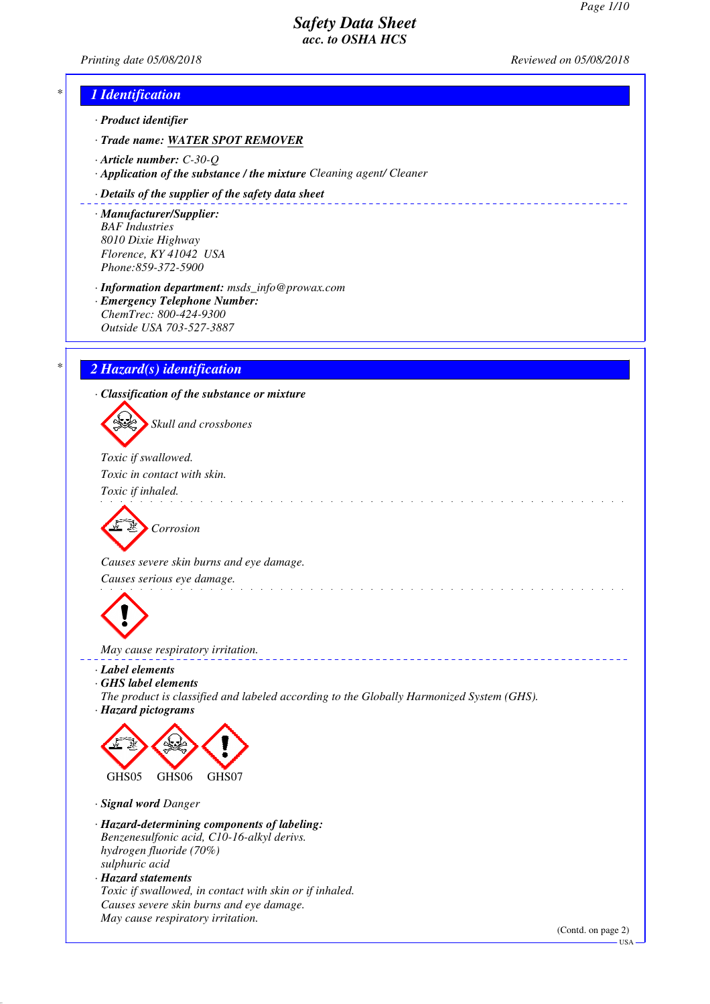*Printing date 05/08/2018 Reviewed on 05/08/2018*

# *\* 1 Identification*

*· Product identifier*

- *· Trade name: WATER SPOT REMOVER*
- *· Article number: C-30-Q*
- *· Application of the substance / the mixture Cleaning agent/ Cleaner*

#### *· Details of the supplier of the safety data sheet*

*· Manufacturer/Supplier: BAF Industries 8010 Dixie Highway Florence, KY 41042 USA Phone:859-372-5900*

*· Information department: msds\_info@prowax.com*

*· Emergency Telephone Number: ChemTrec: 800-424-9300 Outside USA 703-527-3887*

# *\* 2 Hazard(s) identification*

*· Classification of the substance or mixture*

*Skull and crossbones*

*Toxic if swallowed. Toxic in contact with skin.* 

*Toxic if inhaled.* 

*Corrosion*

*Causes severe skin burns and eye damage.* 

*Causes serious eye damage.* 



*May cause respiratory irritation.* 

- *· Label elements*
- *· GHS label elements*
- *The product is classified and labeled according to the Globally Harmonized System (GHS).*

and the state of the state of the state of the

*· Hazard pictograms*



*· Signal word Danger*

- *· Hazard-determining components of labeling: Benzenesulfonic acid, C10-16-alkyl derivs. hydrogen fluoride (70%) sulphuric acid*
- *· Hazard statements Toxic if swallowed, in contact with skin or if inhaled. Causes severe skin burns and eye damage. May cause respiratory irritation.*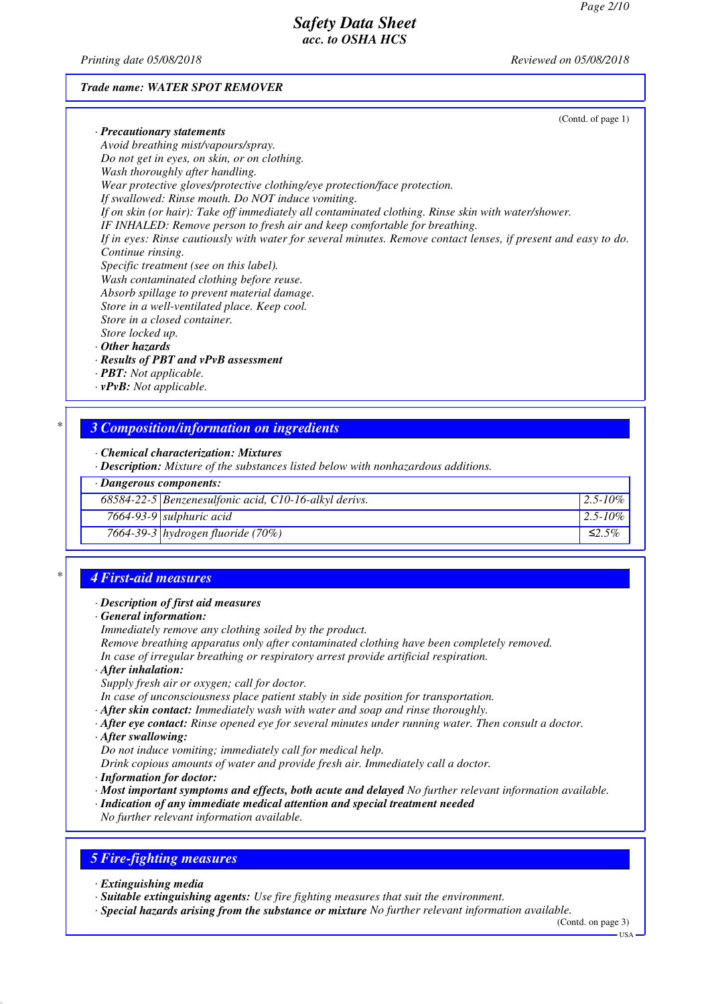*Printing date 05/08/2018 Reviewed on 05/08/2018*

#### *Trade name: WATER SPOT REMOVER*

|                                                                                                                | (Contd. of page 1) |
|----------------------------------------------------------------------------------------------------------------|--------------------|
| · Precautionary statements                                                                                     |                    |
| Avoid breathing mist/vapours/spray.                                                                            |                    |
| Do not get in eyes, on skin, or on clothing.                                                                   |                    |
| Wash thoroughly after handling.                                                                                |                    |
| Wear protective gloves/protective clothing/eye protection/face protection.                                     |                    |
| If swallowed: Rinse mouth. Do NOT induce vomiting.                                                             |                    |
| If on skin (or hair): Take off immediately all contaminated clothing. Rinse skin with water/shower.            |                    |
| IF INHALED: Remove person to fresh air and keep comfortable for breathing.                                     |                    |
| If in eyes: Rinse cautiously with water for several minutes. Remove contact lenses, if present and easy to do. |                    |
| Continue rinsing.                                                                                              |                    |
| Specific treatment (see on this label).                                                                        |                    |
| Wash contaminated clothing before reuse.                                                                       |                    |
| Absorb spillage to prevent material damage.                                                                    |                    |
| Store in a well-ventilated place. Keep cool.                                                                   |                    |
| Store in a closed container.                                                                                   |                    |
| Store locked up.                                                                                               |                    |
| $\cdot$ Other hazards                                                                                          |                    |
| · Results of PBT and vPvB assessment                                                                           |                    |
| · <b>PBT</b> : Not applicable.                                                                                 |                    |
| $\cdot v$ PvB: Not applicable.                                                                                 |                    |

*· Chemical characterization: Mixtures*

*· Description: Mixture of the substances listed below with nonhazardous additions.*

|  |  | · Dangerous components: |
|--|--|-------------------------|
|--|--|-------------------------|

| 68584-22-5 Benzenesulfonic acid, C10-16-alkyl derivs. | $12.5 - 10\%$ |
|-------------------------------------------------------|---------------|
| $7664-93-9$ sulphuric acid                            | $2.5 - 10\%$  |
| $\sqrt{7664-39-3}$ hydrogen fluoride (70%)            | ≤2.5%         |

## *\* 4 First-aid measures*

#### *· Description of first aid measures*

*· General information:*

*Immediately remove any clothing soiled by the product.*

*Remove breathing apparatus only after contaminated clothing have been completely removed. In case of irregular breathing or respiratory arrest provide artificial respiration.*

- *· After inhalation:*
- *Supply fresh air or oxygen; call for doctor.*
- *In case of unconsciousness place patient stably in side position for transportation.*
- *· After skin contact: Immediately wash with water and soap and rinse thoroughly.*
- *· After eye contact: Rinse opened eye for several minutes under running water. Then consult a doctor.*
- *· After swallowing:*

*Do not induce vomiting; immediately call for medical help.*

*Drink copious amounts of water and provide fresh air. Immediately call a doctor.*

- *· Information for doctor:*
- *· Most important symptoms and effects, both acute and delayed No further relevant information available.*
- *· Indication of any immediate medical attention and special treatment needed*

*No further relevant information available.*

# *5 Fire-fighting measures*

- *· Extinguishing media*
- *· Suitable extinguishing agents: Use fire fighting measures that suit the environment.*
- *· Special hazards arising from the substance or mixture No further relevant information available.*

(Contd. on page 3) USA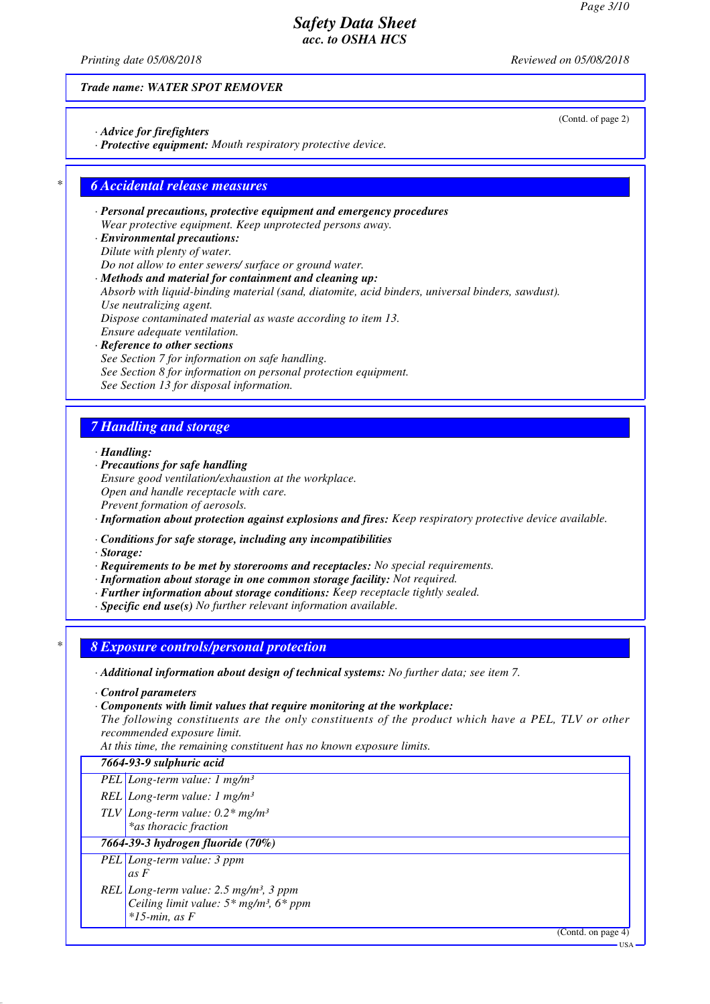(Contd. of page 2)

## *Safety Data Sheet acc. to OSHA HCS*

*Printing date 05/08/2018 Reviewed on 05/08/2018*

*Trade name: WATER SPOT REMOVER*

- *· Advice for firefighters*
- *· Protective equipment: Mouth respiratory protective device.*

## *\* 6 Accidental release measures*

- *· Personal precautions, protective equipment and emergency procedures Wear protective equipment. Keep unprotected persons away.*
- *· Environmental precautions: Dilute with plenty of water. Do not allow to enter sewers/ surface or ground water.*
- *· Methods and material for containment and cleaning up: Absorb with liquid-binding material (sand, diatomite, acid binders, universal binders, sawdust). Use neutralizing agent. Dispose contaminated material as waste according to item 13. Ensure adequate ventilation.*
- *· Reference to other sections See Section 7 for information on safe handling. See Section 8 for information on personal protection equipment. See Section 13 for disposal information.*

## *7 Handling and storage*

- *· Handling:*
- *· Precautions for safe handling Ensure good ventilation/exhaustion at the workplace. Open and handle receptacle with care. Prevent formation of aerosols.*
- *· Information about protection against explosions and fires: Keep respiratory protective device available.*
- *· Conditions for safe storage, including any incompatibilities*
- *· Storage:*
- *· Requirements to be met by storerooms and receptacles: No special requirements.*
- *· Information about storage in one common storage facility: Not required.*
- *· Further information about storage conditions: Keep receptacle tightly sealed.*
- *· Specific end use(s) No further relevant information available.*

*\* 8 Exposure controls/personal protection*

*· Additional information about design of technical systems: No further data; see item 7.*

- *· Control parameters*
- *· Components with limit values that require monitoring at the workplace:*

*The following constituents are the only constituents of the product which have a PEL, TLV or other recommended exposure limit.*

*At this time, the remaining constituent has no known exposure limits.*

## *7664-93-9 sulphuric acid*

- *PEL Long-term value: 1 mg/m³*
- *REL Long-term value: 1 mg/m³*
- *TLV Long-term value: 0.2\* mg/m³*
- *\*as thoracic fraction*

### *7664-39-3 hydrogen fluoride (70%)*

- *PEL Long-term value: 3 ppm as F*
- *REL Long-term value: 2.5 mg/m³, 3 ppm Ceiling limit value: 5\* mg/m³, 6\* ppm \*15-min, as F*

(Contd. on page 4)

USA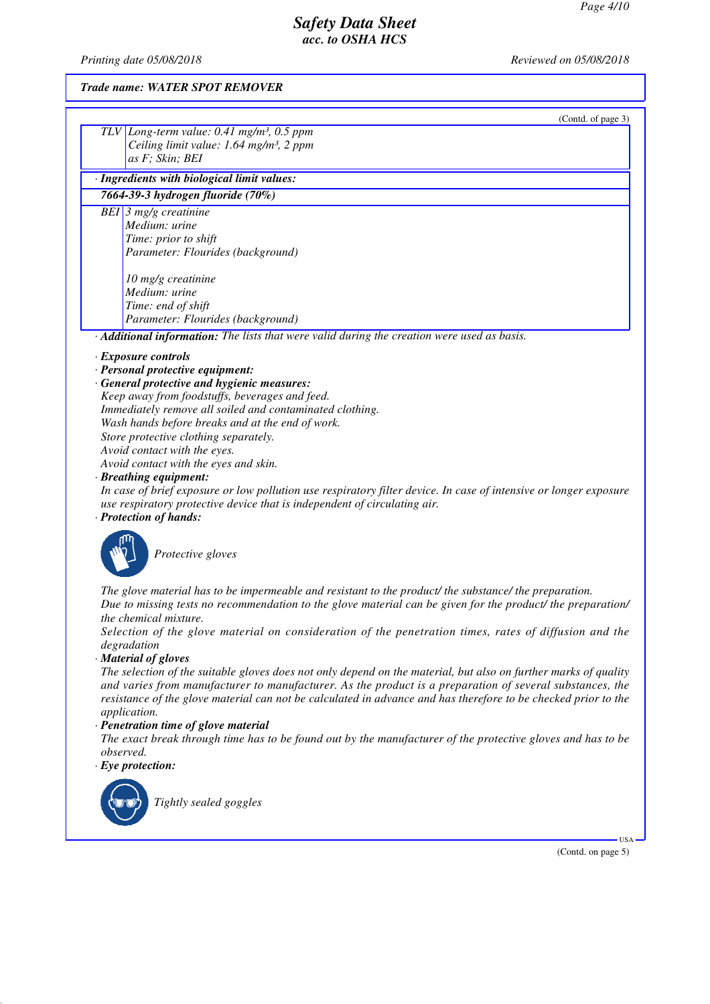*Printing date 05/08/2018 Reviewed on 05/08/2018*

### *Trade name: WATER SPOT REMOVER*

| (Contd. of page 3)                                                                                                                                                                             |  |
|------------------------------------------------------------------------------------------------------------------------------------------------------------------------------------------------|--|
| TLV Long-term value: $0.41$ mg/m <sup>3</sup> , $0.5$ ppm                                                                                                                                      |  |
| Ceiling limit value: 1.64 mg/m <sup>3</sup> , 2 ppm                                                                                                                                            |  |
| as F; Skin; BEI                                                                                                                                                                                |  |
| · Ingredients with biological limit values:                                                                                                                                                    |  |
| 7664-39-3 hydrogen fluoride (70%)                                                                                                                                                              |  |
| BEI $\beta$ mg/g creatinine                                                                                                                                                                    |  |
| Medium: urine                                                                                                                                                                                  |  |
| Time: prior to shift                                                                                                                                                                           |  |
| Parameter: Flourides (background)                                                                                                                                                              |  |
| 10 mg/g creatinine                                                                                                                                                                             |  |
| Medium: urine                                                                                                                                                                                  |  |
| Time: end of shift                                                                                                                                                                             |  |
| Parameter: Flourides (background)                                                                                                                                                              |  |
| Additional information: The lists that were valid during the creation were used as basis.                                                                                                      |  |
| · Exposure controls                                                                                                                                                                            |  |
| · Personal protective equipment:                                                                                                                                                               |  |
| · General protective and hygienic measures:                                                                                                                                                    |  |
| Keep away from foodstuffs, beverages and feed.                                                                                                                                                 |  |
| Immediately remove all soiled and contaminated clothing.                                                                                                                                       |  |
| Wash hands before breaks and at the end of work.                                                                                                                                               |  |
| Store protective clothing separately.                                                                                                                                                          |  |
| Avoid contact with the eyes.                                                                                                                                                                   |  |
| Avoid contact with the eyes and skin.                                                                                                                                                          |  |
| · Breathing equipment:                                                                                                                                                                         |  |
| In case of brief exposure or low pollution use respiratory filter device. In case of intensive or longer exposure<br>use respiratory protective device that is independent of circulating air. |  |
| · Protection of hands:                                                                                                                                                                         |  |
|                                                                                                                                                                                                |  |



*Protective gloves*

*The glove material has to be impermeable and resistant to the product/ the substance/ the preparation.*

*Due to missing tests no recommendation to the glove material can be given for the product/ the preparation/ the chemical mixture.*

*Selection of the glove material on consideration of the penetration times, rates of diffusion and the degradation*

### *· Material of gloves*

*The selection of the suitable gloves does not only depend on the material, but also on further marks of quality and varies from manufacturer to manufacturer. As the product is a preparation of several substances, the resistance of the glove material can not be calculated in advance and has therefore to be checked prior to the application.*

#### *· Penetration time of glove material*

*The exact break through time has to be found out by the manufacturer of the protective gloves and has to be observed.*

*· Eye protection:*



*Tightly sealed goggles*

(Contd. on page 5)

USA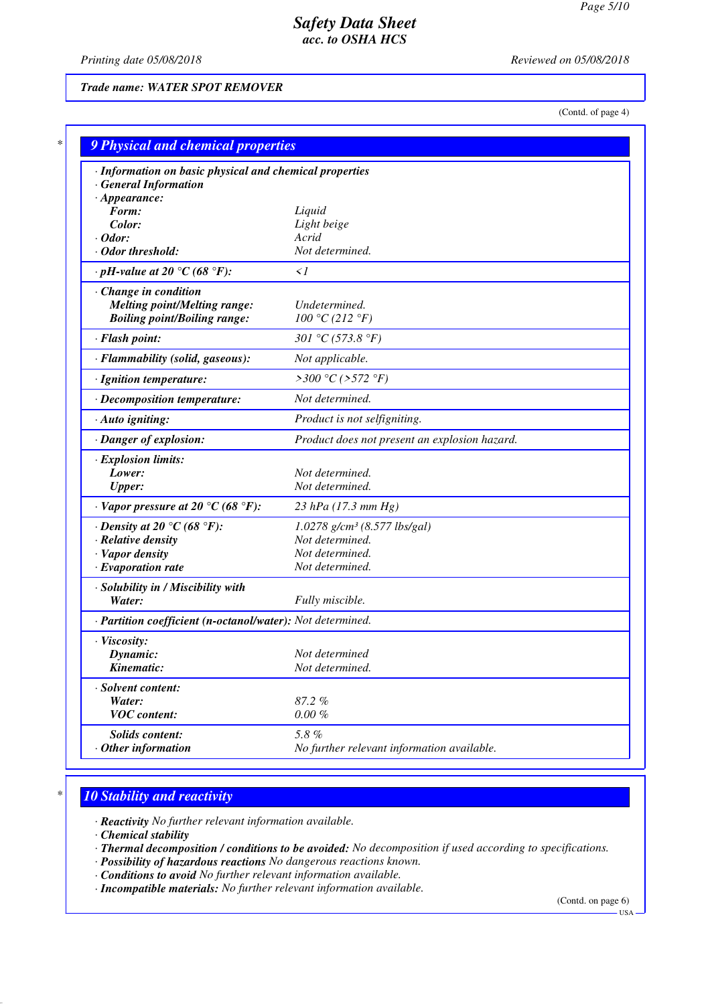*Printing date 05/08/2018 Reviewed on 05/08/2018*

*Trade name: WATER SPOT REMOVER*

(Contd. of page 4)

| · Information on basic physical and chemical properties    |                                               |
|------------------------------------------------------------|-----------------------------------------------|
| <b>General Information</b>                                 |                                               |
| $\cdot$ Appearance:<br>Form:                               | Liquid                                        |
| Color:                                                     | Light beige                                   |
| $\cdot$ Odor:                                              | Acrid                                         |
| · Odor threshold:                                          | Not determined.                               |
| $\cdot$ pH-value at 20 °C (68 °F):                         | $\leq l$                                      |
| Change in condition                                        |                                               |
| <b>Melting point/Melting range:</b>                        | Undetermined.                                 |
| <b>Boiling point/Boiling range:</b>                        | 100 °C (212 °F)                               |
| · Flash point:                                             | 301 °C (573.8 °F)                             |
| · Flammability (solid, gaseous):                           | Not applicable.                               |
| · Ignition temperature:                                    | >300 °C (>572 °F)                             |
| · Decomposition temperature:                               | Not determined.                               |
| · Auto igniting:                                           | Product is not selfigniting.                  |
| · Danger of explosion:                                     | Product does not present an explosion hazard. |
| <b>Explosion limits:</b>                                   |                                               |
| Lower:                                                     | Not determined.                               |
| <b>Upper:</b>                                              | Not determined.                               |
| $\cdot$ Vapor pressure at 20 °C (68 °F):                   | 23 hPa $(17.3 \text{ mm Hg})$                 |
| $\cdot$ Density at 20 °C (68 °F):                          | $1.0278$ g/cm <sup>3</sup> (8.577 lbs/gal)    |
| · Relative density                                         | Not determined.                               |
| · Vapor density                                            | Not determined.                               |
| · Evaporation rate                                         | Not determined.                               |
| · Solubility in / Miscibility with                         |                                               |
| Water:                                                     | Fully miscible.                               |
| · Partition coefficient (n-octanol/water): Not determined. |                                               |
| · Viscosity:                                               |                                               |
| Dynamic:                                                   | Not determined                                |
| Kinematic:                                                 | Not determined.                               |
| · Solvent content:                                         |                                               |
| Water:                                                     | 87.2%                                         |
| <b>VOC</b> content:                                        | $0.00 \%$                                     |

# *\* 10 Stability and reactivity*

*· Reactivity No further relevant information available.*

*· Chemical stability*

*· Thermal decomposition / conditions to be avoided: No decomposition if used according to specifications.*

- *· Possibility of hazardous reactions No dangerous reactions known.*
- *· Conditions to avoid No further relevant information available.*
- *· Incompatible materials: No further relevant information available.*

(Contd. on page 6)

 $-<sub>USA</sub>$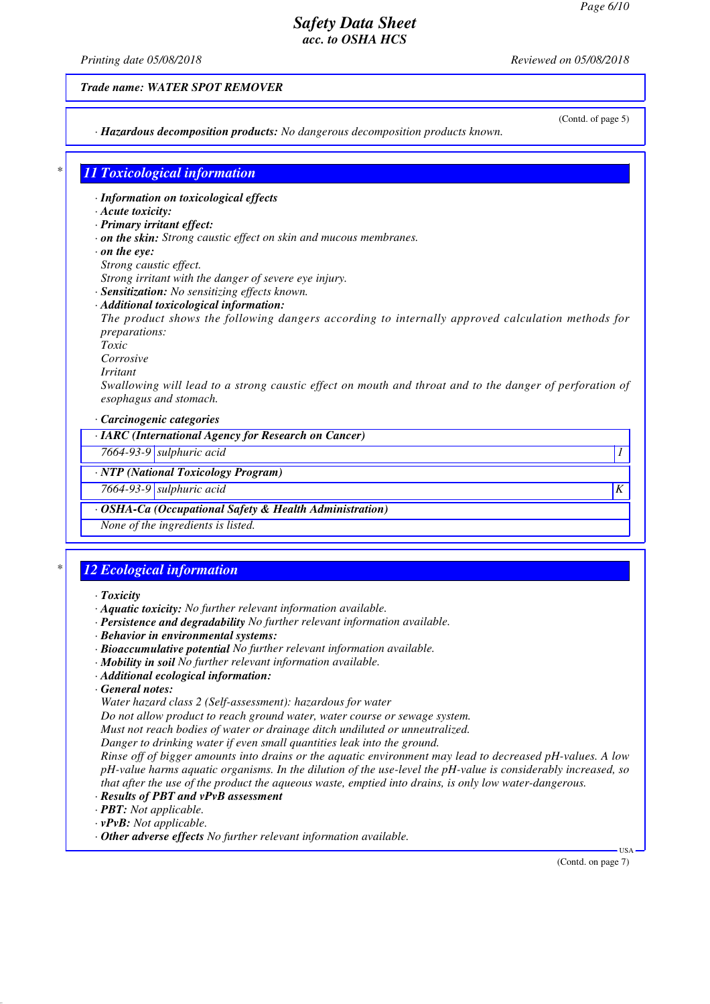*Printing date 05/08/2018 Reviewed on 05/08/2018*

*Trade name: WATER SPOT REMOVER*

(Contd. of page 5)

*· Hazardous decomposition products: No dangerous decomposition products known.*

# *\* 11 Toxicological information*

*· Information on toxicological effects*

#### *· Acute toxicity:*

*· Primary irritant effect:*

*· on the skin: Strong caustic effect on skin and mucous membranes.*

- *· on the eye:*
- *Strong caustic effect.*

*Strong irritant with the danger of severe eye injury.*

- *· Sensitization: No sensitizing effects known.*
- *· Additional toxicological information:*

*The product shows the following dangers according to internally approved calculation methods for preparations:*

*Toxic*

*Corrosive*

*Irritant*

*Swallowing will lead to a strong caustic effect on mouth and throat and to the danger of perforation of esophagus and stomach.*

*· Carcinogenic categories*

*· IARC (International Agency for Research on Cancer)*

*7664-93-9 sulphuric acid 1* 

*· NTP (National Toxicology Program)*

*7664-93-9 sulphuric acid K* 

*· OSHA-Ca (Occupational Safety & Health Administration)*

*None of the ingredients is listed.*

# *\* 12 Ecological information*

#### *· Toxicity*

- *· Aquatic toxicity: No further relevant information available.*
- *· Persistence and degradability No further relevant information available.*
- *· Behavior in environmental systems:*
- *· Bioaccumulative potential No further relevant information available.*
- *· Mobility in soil No further relevant information available.*
- *· Additional ecological information:*
- *· General notes:*

*Water hazard class 2 (Self-assessment): hazardous for water*

*Do not allow product to reach ground water, water course or sewage system.*

*Must not reach bodies of water or drainage ditch undiluted or unneutralized.*

*Danger to drinking water if even small quantities leak into the ground.*

*Rinse off of bigger amounts into drains or the aquatic environment may lead to decreased pH-values. A low pH-value harms aquatic organisms. In the dilution of the use-level the pH-value is considerably increased, so that after the use of the product the aqueous waste, emptied into drains, is only low water-dangerous.*

- *· Results of PBT and vPvB assessment*
- *· PBT: Not applicable.*
- *· vPvB: Not applicable.*
- *· Other adverse effects No further relevant information available.*

(Contd. on page 7)

USA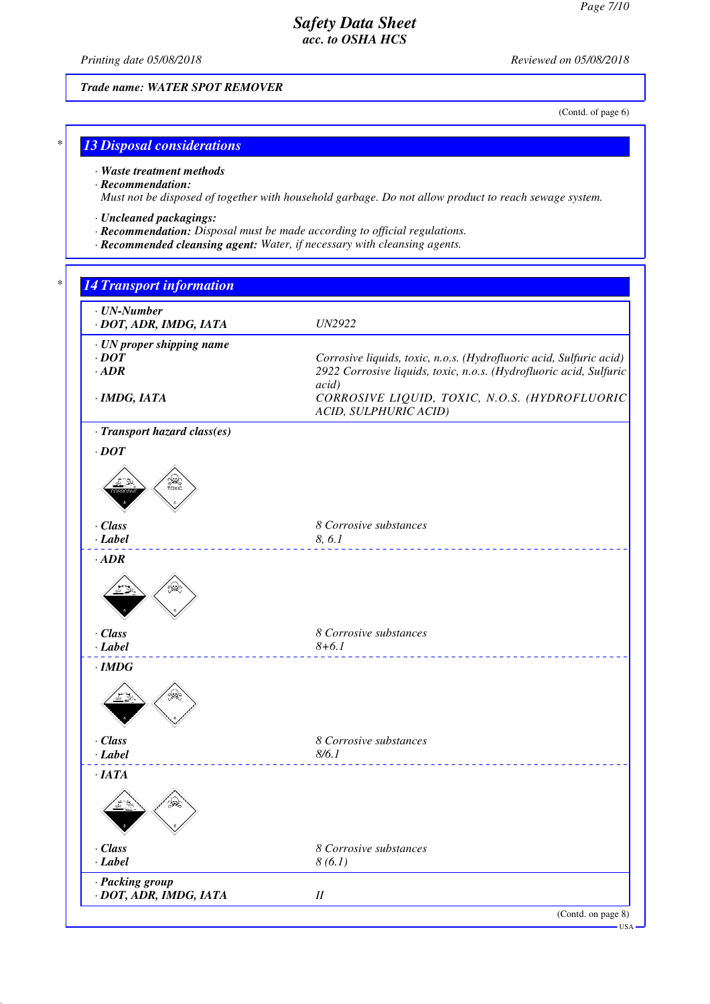*Printing date 05/08/2018 Reviewed on 05/08/2018*

*Trade name: WATER SPOT REMOVER*

(Contd. of page 6)

## *\* 13 Disposal considerations*

*· Waste treatment methods*

*· Recommendation:*

*Must not be disposed of together with household garbage. Do not allow product to reach sewage system.*

- *· Uncleaned packagings:*
- *· Recommendation: Disposal must be made according to official regulations.*
- *· Recommended cleansing agent: Water, if necessary with cleansing agents.*

# *\* 14 Transport information · UN-Number · DOT, ADR, IMDG, IATA UN2922 · UN proper shipping name · DOT Corrosive liquids, toxic, n.o.s. (Hydrofluoric acid, Sulfuric acid) · ADR 2922 Corrosive liquids, toxic, n.o.s. (Hydrofluoric acid, Sulfuric acid) · IMDG, IATA CORROSIVE LIQUID, TOXIC, N.O.S. (HYDROFLUORIC ACID, SULPHURIC ACID) · Transport hazard class(es) · DOT · Class 8 Corrosive substances · Label 8, 6.1 · ADR · Class 8 Corrosive substances · Label 8+6.1 · IMDG · Class 8 Corrosive substances · Label 8/6.1 · IATA · Class 8 Corrosive substances · Label 8 (6.1) · Packing group · DOT, ADR, IMDG, IATA II* (Contd. on page 8) USA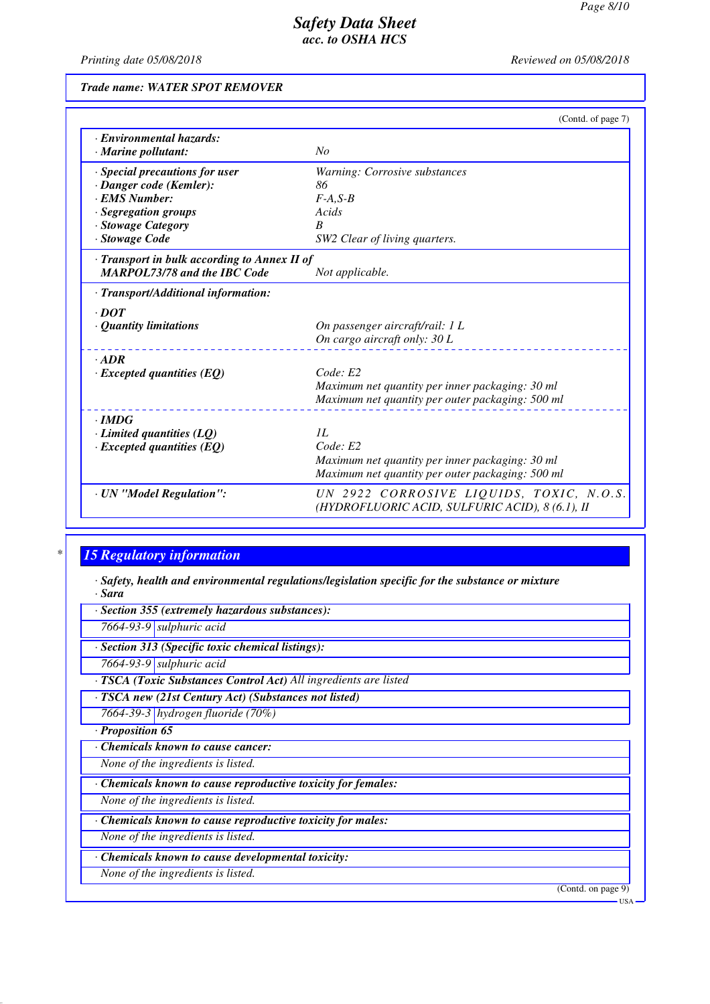*Printing date 05/08/2018 Reviewed on 05/08/2018*

*Trade name: WATER SPOT REMOVER*

|                                              | (Contd. of page 7)                                                                          |
|----------------------------------------------|---------------------------------------------------------------------------------------------|
| · Environmental hazards:                     |                                                                                             |
| · Marine pollutant:                          | No                                                                                          |
| · Special precautions for user               | Warning: Corrosive substances                                                               |
| · Danger code (Kemler):                      | 86                                                                                          |
| · EMS Number:                                | $F-A.S-B$                                                                                   |
| · Segregation groups                         | Acids                                                                                       |
| · Stowage Category                           | $\boldsymbol{B}$                                                                            |
| · Stowage Code                               | SW2 Clear of living quarters.                                                               |
| · Transport in bulk according to Annex II of |                                                                                             |
| <b>MARPOL73/78 and the IBC Code</b>          | Not applicable.                                                                             |
| · Transport/Additional information:          |                                                                                             |
| $\cdot$ DOT                                  |                                                                                             |
| • Quantity limitations                       | On passenger aircraft/rail: 1 L                                                             |
|                                              | On cargo aircraft only: 30 L                                                                |
| $-ADR$                                       |                                                                                             |
| $\cdot$ Excepted quantities (EQ)             | Code: E2                                                                                    |
|                                              | Maximum net quantity per inner packaging: 30 ml                                             |
|                                              | Maximum net quantity per outer packaging: 500 ml                                            |
| $\cdot$ IMDG                                 |                                                                                             |
| $\cdot$ Limited quantities (LQ)              | II.                                                                                         |
| $\cdot$ Excepted quantities (EQ)             | Code: E2                                                                                    |
|                                              | Maximum net quantity per inner packaging: 30 ml                                             |
|                                              | Maximum net quantity per outer packaging: 500 ml                                            |
| · UN "Model Regulation":                     | UN 2922 CORROSIVE LIQUIDS, TOXIC, N.O.S.<br>(HYDROFLUORIC ACID, SULFURIC ACID), 8 (6.1), II |

# *\* 15 Regulatory information*

*· Safety, health and environmental regulations/legislation specific for the substance or mixture · Sara*

*· Section 355 (extremely hazardous substances): 7664-93-9 sulphuric acid · Section 313 (Specific toxic chemical listings): 7664-93-9 sulphuric acid · TSCA (Toxic Substances Control Act) All ingredients are listed · TSCA new (21st Century Act) (Substances not listed) 7664-39-3 hydrogen fluoride (70%) · Proposition 65 · Chemicals known to cause cancer: None of the ingredients is listed. · Chemicals known to cause reproductive toxicity for females: None of the ingredients is listed. · Chemicals known to cause reproductive toxicity for males: None of the ingredients is listed. · Chemicals known to cause developmental toxicity: None of the ingredients is listed.* (Contd. on page 9) USA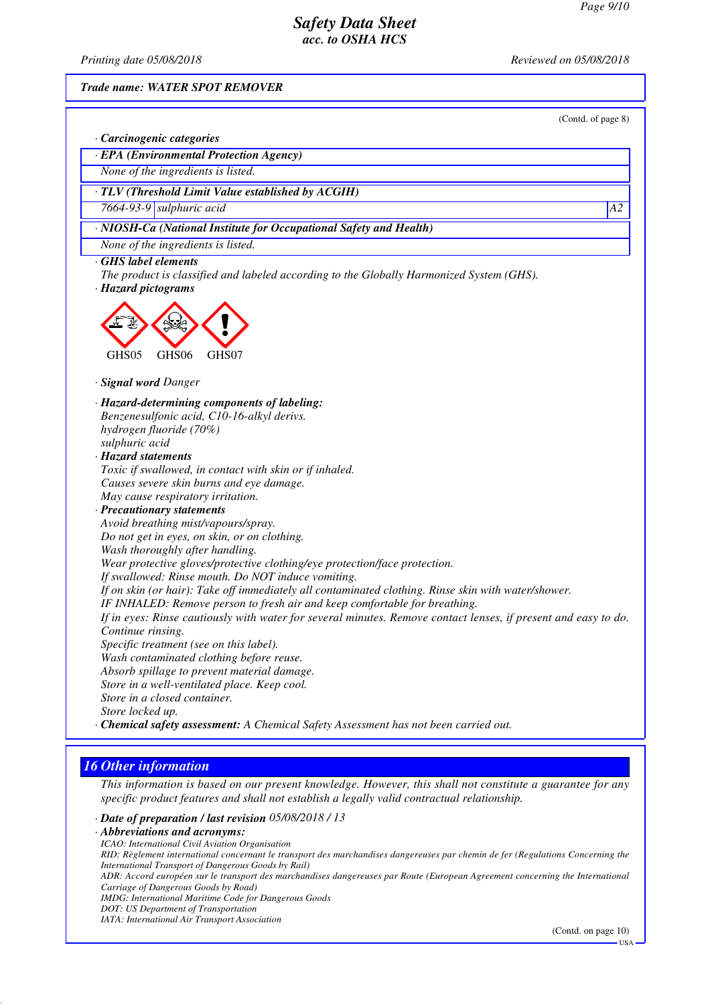*Printing date 05/08/2018 Reviewed on 05/08/2018*

*Trade name: WATER SPOT REMOVER*

(Contd. of page 8)

| · Carcinogenic categories                                                                                                             |                 |
|---------------------------------------------------------------------------------------------------------------------------------------|-----------------|
| · EPA (Environmental Protection Agency)                                                                                               |                 |
| None of the ingredients is listed.                                                                                                    |                 |
| · TLV (Threshold Limit Value established by ACGIH)                                                                                    |                 |
| $7664-93-9$ sulphuric acid                                                                                                            | $\overline{A2}$ |
| · NIOSH-Ca (National Institute for Occupational Safety and Health)                                                                    |                 |
| None of the ingredients is listed.                                                                                                    |                 |
| GHS label elements<br>The product is classified and labeled according to the Globally Harmonized System (GHS).<br>· Hazard pictograms |                 |
| GHS05<br>GHS06<br>GHS07                                                                                                               |                 |
| · Signal word Danger                                                                                                                  |                 |
| · Hazard-determining components of labeling:                                                                                          |                 |
| Benzenesulfonic acid, C10-16-alkyl derivs.                                                                                            |                 |
| hydrogen fluoride (70%)                                                                                                               |                 |
| sulphuric acid                                                                                                                        |                 |
| · Hazard statements                                                                                                                   |                 |
| Toxic if swallowed, in contact with skin or if inhaled.                                                                               |                 |
| Causes severe skin burns and eye damage.                                                                                              |                 |
| May cause respiratory irritation.                                                                                                     |                 |
| · Precautionary statements                                                                                                            |                 |
| Avoid breathing mist/vapours/spray.                                                                                                   |                 |
| Do not get in eyes, on skin, or on clothing.                                                                                          |                 |
| Wash thoroughly after handling.                                                                                                       |                 |
| Wear protective gloves/protective clothing/eye protection/face protection.                                                            |                 |
| If swallowed: Rinse mouth. Do NOT induce vomiting.                                                                                    |                 |
|                                                                                                                                       |                 |
| If on skin (or hair): Take off immediately all contaminated clothing. Rinse skin with water/shower.                                   |                 |
| IF INHALED: Remove person to fresh air and keep comfortable for breathing.                                                            |                 |
| If in eyes: Rinse cautiously with water for several minutes. Remove contact lenses, if present and easy to do.                        |                 |
| Continue rinsing.                                                                                                                     |                 |
| Specific treatment (see on this label).                                                                                               |                 |
| Wash contaminated clothing before reuse.                                                                                              |                 |
| Absorb spillage to prevent material damage.                                                                                           |                 |
| Store in a well-ventilated place. Keep cool.                                                                                          |                 |
| Store in a closed container.                                                                                                          |                 |
| Store locked up.                                                                                                                      |                 |
| · Chemical safety assessment: A Chemical Safety Assessment has not been carried out.                                                  |                 |

# *16 Other information*

*This information is based on our present knowledge. However, this shall not constitute a guarantee for any specific product features and shall not establish a legally valid contractual relationship.*

*· Date of preparation / last revision 05/08/2018 / 13 · Abbreviations and acronyms: ICAO: International Civil Aviation Organisation RID: Règlement international concernant le transport des marchandises dangereuses par chemin de fer (Regulations Concerning the International Transport of Dangerous Goods by Rail) ADR: Accord européen sur le transport des marchandises dangereuses par Route (European Agreement concerning the International Carriage of Dangerous Goods by Road) IMDG: International Maritime Code for Dangerous Goods DOT: US Department of Transportation IATA: International Air Transport Association* (Contd. on page 10) USA